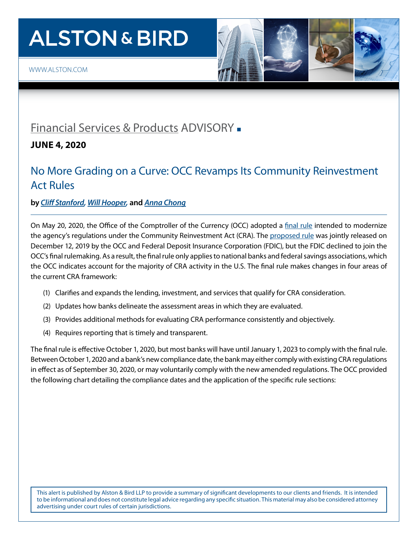# **ALSTON & BIRD**



### [Financial Services & Products](https://www.alston.com/en/services/industries/finance-financial-services/financial-services--products) ADVISORY -

**JUNE 4, 2020**

### No More Grading on a Curve: OCC Revamps Its Community Reinvestment Act Rules

#### **by** *[Cliff Stanford](https://www.alston.com/en/professionals/s/stanford-clifford-s), [Will Hooper,](https://www.alston.com/en/professionals/h/hooper-william-w)* **and** *[Anna Chong](https://www.alston.com/en/professionals/c/chong-anna)*

On May 20, 2020, the Office of the Comptroller of the Currency (OCC) adopted a [final rule](https://www.occ.treas.gov/news-issuances/federal-register/2020/nr-occ-2020-63a.pdf) intended to modernize the agency's regulations under the Community Reinvestment Act (CRA). The [proposed rule](https://www.federalregister.gov/documents/2020/01/09/2019-27940/community-reinvestment-act-regulations) was jointly released on December 12, 2019 by the OCC and Federal Deposit Insurance Corporation (FDIC), but the FDIC declined to join the OCC's final rulemaking. As a result, the final rule only applies to national banks and federal savings associations, which the OCC indicates account for the majority of CRA activity in the U.S. The final rule makes changes in four areas of the current CRA framework:

- (1) Clarifies and expands the lending, investment, and services that qualify for CRA consideration.
- (2) Updates how banks delineate the assessment areas in which they are evaluated.
- (3) Provides additional methods for evaluating CRA performance consistently and objectively.
- (4) Requires reporting that is timely and transparent.

The final rule is effective October 1, 2020, but most banks will have until January 1, 2023 to comply with the final rule. Between October 1, 2020 and a bank's new compliance date, the bank may either comply with existing CRA regulations in effect as of September 30, 2020, or may voluntarily comply with the new amended regulations. The OCC provided the following chart detailing the compliance dates and the application of the specific rule sections:

This alert is published by Alston & Bird LLP to provide a summary of significant developments to our clients and friends. It is intended to be informational and does not constitute legal advice regarding any specific situation. This material may also be considered attorney advertising under court rules of certain jurisdictions.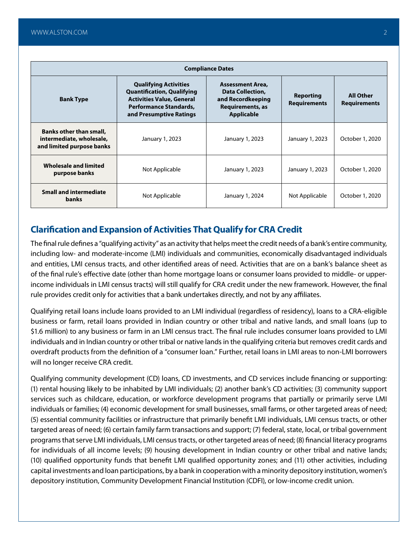| <b>Compliance Dates</b>                                                                 |                                                                                                                                                                   |                                                                                                           |                                  |                                         |  |  |
|-----------------------------------------------------------------------------------------|-------------------------------------------------------------------------------------------------------------------------------------------------------------------|-----------------------------------------------------------------------------------------------------------|----------------------------------|-----------------------------------------|--|--|
| <b>Bank Type</b>                                                                        | <b>Qualifying Activities</b><br><b>Quantification, Qualifying</b><br><b>Activities Value, General</b><br><b>Performance Standards,</b><br>and Presumptive Ratings | <b>Assessment Area.</b><br>Data Collection,<br>and Recordkeeping<br>Requirements, as<br><b>Applicable</b> | Reporting<br><b>Requirements</b> | <b>All Other</b><br><b>Requirements</b> |  |  |
| <b>Banks other than small,</b><br>intermediate, wholesale,<br>and limited purpose banks | January 1, 2023                                                                                                                                                   | January 1, 2023                                                                                           | January 1, 2023                  | October 1, 2020                         |  |  |
| Wholesale and limited<br>purpose banks                                                  | Not Applicable                                                                                                                                                    | January 1, 2023                                                                                           | January 1, 2023                  | October 1, 2020                         |  |  |
| <b>Small and intermediate</b><br><b>banks</b>                                           | Not Applicable                                                                                                                                                    | January 1, 2024                                                                                           | Not Applicable                   | October 1, 2020                         |  |  |

#### **Clarification and Expansion of Activities That Qualify for CRA Credit**

The final rule defines a "qualifying activity" as an activity that helps meet the credit needs of a bank's entire community, including low- and moderate-income (LMI) individuals and communities, economically disadvantaged individuals and entities, LMI census tracts, and other identified areas of need. Activities that are on a bank's balance sheet as of the final rule's effective date (other than home mortgage loans or consumer loans provided to middle- or upperincome individuals in LMI census tracts) will still qualify for CRA credit under the new framework. However, the final rule provides credit only for activities that a bank undertakes directly, and not by any affiliates.

Qualifying retail loans include loans provided to an LMI individual (regardless of residency), loans to a CRA-eligible business or farm, retail loans provided in Indian country or other tribal and native lands, and small loans (up to \$1.6 million) to any business or farm in an LMI census tract. The final rule includes consumer loans provided to LMI individuals and in Indian country or other tribal or native lands in the qualifying criteria but removes credit cards and overdraft products from the definition of a "consumer loan." Further, retail loans in LMI areas to non-LMI borrowers will no longer receive CRA credit.

Qualifying community development (CD) loans, CD investments, and CD services include financing or supporting: (1) rental housing likely to be inhabited by LMI individuals; (2) another bank's CD activities; (3) community support services such as childcare, education, or workforce development programs that partially or primarily serve LMI individuals or families; (4) economic development for small businesses, small farms, or other targeted areas of need; (5) essential community facilities or infrastructure that primarily benefit LMI individuals, LMI census tracts, or other targeted areas of need; (6) certain family farm transactions and support; (7) federal, state, local, or tribal government programs that serve LMI individuals, LMI census tracts, or other targeted areas of need; (8) financial literacy programs for individuals of all income levels; (9) housing development in Indian country or other tribal and native lands; (10) qualified opportunity funds that benefit LMI qualified opportunity zones; and (11) other activities, including capital investments and loan participations, by a bank in cooperation with a minority depository institution, women's depository institution, Community Development Financial Institution (CDFI), or low-income credit union.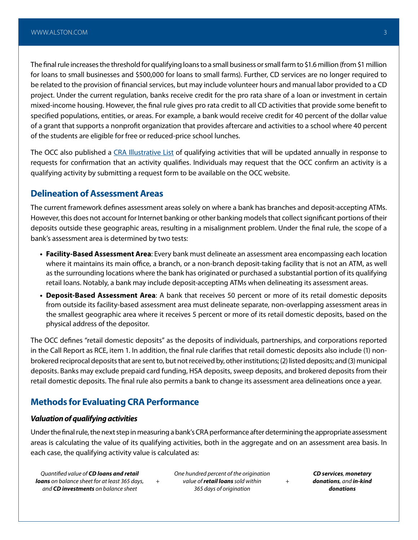The final rule increases the threshold for qualifying loans to a small business or small farm to \$1.6 million (from \$1 million for loans to small businesses and \$500,000 for loans to small farms). Further, CD services are no longer required to be related to the provision of financial services, but may include volunteer hours and manual labor provided to a CD project. Under the current regulation, banks receive credit for the pro rata share of a loan or investment in certain mixed-income housing. However, the final rule gives pro rata credit to all CD activities that provide some benefit to specified populations, entities, or areas. For example, a bank would receive credit for 40 percent of the dollar value of a grant that supports a nonprofit organization that provides aftercare and activities to a school where 40 percent of the students are eligible for free or reduced-price school lunches.

The OCC also published a [CRA Illustrative List](https://www.occ.treas.gov/topics/consumers-and-communities/cra/cra-qualifying-activities.pdf) of qualifying activities that will be updated annually in response to requests for confirmation that an activity qualifies. Individuals may request that the OCC confirm an activity is a qualifying activity by submitting a request form to be available on the OCC website.

#### **Delineation of Assessment Areas**

The current framework defines assessment areas solely on where a bank has branches and deposit-accepting ATMs. However, this does not account for Internet banking or other banking models that collect significant portions of their deposits outside these geographic areas, resulting in a misalignment problem. Under the final rule, the scope of a bank's assessment area is determined by two tests:

- **• Facility-Based Assessment Area**: Every bank must delineate an assessment area encompassing each location where it maintains its main office, a branch, or a non-branch deposit-taking facility that is not an ATM, as well as the surrounding locations where the bank has originated or purchased a substantial portion of its qualifying retail loans. Notably, a bank may include deposit-accepting ATMs when delineating its assessment areas.
- **• Deposit-Based Assessment Area**: A bank that receives 50 percent or more of its retail domestic deposits from outside its facility-based assessment area must delineate separate, non-overlapping assessment areas in the smallest geographic area where it receives 5 percent or more of its retail domestic deposits, based on the physical address of the depositor.

The OCC defines "retail domestic deposits" as the deposits of individuals, partnerships, and corporations reported in the Call Report as RCE, item 1. In addition, the final rule clarifies that retail domestic deposits also include (1) nonbrokered reciprocal deposits that are sent to, but not received by, other institutions; (2) listed deposits; and (3) municipal deposits. Banks may exclude prepaid card funding, HSA deposits, sweep deposits, and brokered deposits from their retail domestic deposits. The final rule also permits a bank to change its assessment area delineations once a year.

#### **Methods for Evaluating CRA Performance**

*+*

#### *Valuation of qualifying activities*

Under the final rule, the next step in measuring a bank's CRA performance after determining the appropriate assessment areas is calculating the value of its qualifying activities, both in the aggregate and on an assessment area basis. In each case, the qualifying activity value is calculated as:

*Quantified value of CD loans and retail loans on balance sheet for at least 365 days, and CD investments on balance sheet*

*One hundred percent of the origination value of retail loans sold within 365 days of origination*

*CD services, monetary donations, and in-kind donations*

*+*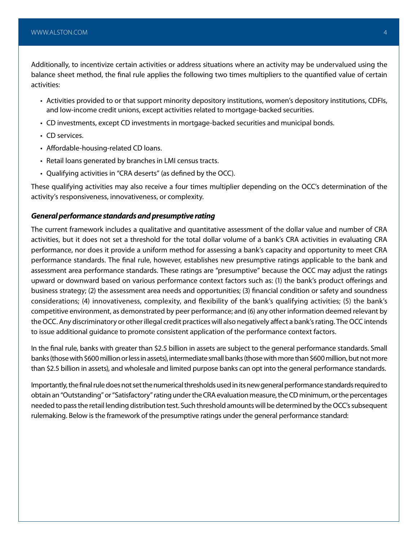Additionally, to incentivize certain activities or address situations where an activity may be undervalued using the balance sheet method, the final rule applies the following two times multipliers to the quantified value of certain activities:

- Activities provided to or that support minority depository institutions, women's depository institutions, CDFIs, and low-income credit unions, except activities related to mortgage-backed securities.
- CD investments, except CD investments in mortgage-backed securities and municipal bonds.
- CD services.
- Affordable-housing-related CD loans.
- Retail loans generated by branches in LMI census tracts.
- Qualifying activities in "CRA deserts" (as defined by the OCC).

These qualifying activities may also receive a four times multiplier depending on the OCC's determination of the activity's responsiveness, innovativeness, or complexity.

#### *General performance standards and presumptive rating*

The current framework includes a qualitative and quantitative assessment of the dollar value and number of CRA activities, but it does not set a threshold for the total dollar volume of a bank's CRA activities in evaluating CRA performance, nor does it provide a uniform method for assessing a bank's capacity and opportunity to meet CRA performance standards. The final rule, however, establishes new presumptive ratings applicable to the bank and assessment area performance standards. These ratings are "presumptive" because the OCC may adjust the ratings upward or downward based on various performance context factors such as: (1) the bank's product offerings and business strategy; (2) the assessment area needs and opportunities; (3) financial condition or safety and soundness considerations; (4) innovativeness, complexity, and flexibility of the bank's qualifying activities; (5) the bank's competitive environment, as demonstrated by peer performance; and (6) any other information deemed relevant by the OCC. Any discriminatory or other illegal credit practices will also negatively affect a bank's rating. The OCC intends to issue additional guidance to promote consistent application of the performance context factors.

In the final rule, banks with greater than \$2.5 billion in assets are subject to the general performance standards. Small banks (those with \$600 million or less in assets), intermediate small banks (those with more than \$600 million, but not more than \$2.5 billion in assets), and wholesale and limited purpose banks can opt into the general performance standards.

Importantly, the final rule does not set the numerical thresholds used in its new general performance standards required to obtain an "Outstanding" or "Satisfactory" rating under the CRA evaluation measure, the CD minimum, or the percentages needed to pass the retail lending distribution test. Such threshold amounts will be determined by the OCC's subsequent rulemaking. Below is the framework of the presumptive ratings under the general performance standard: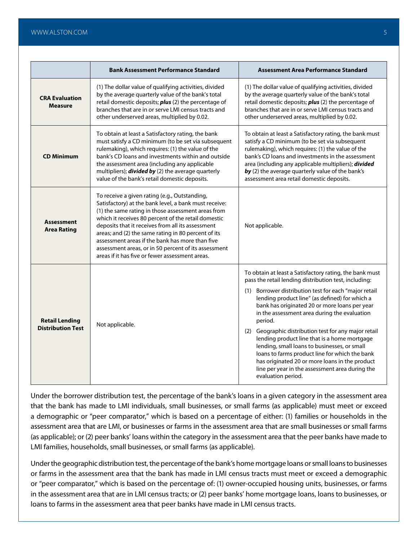|                                                   | <b>Bank Assessment Performance Standard</b>                                                                                                                                                                                                                                                                                                                                                                                                                                                   | <b>Assessment Area Performance Standard</b>                                                                                                                                                                                                                                                                                                                                                                                                                                                                                                                                                                                                                                   |
|---------------------------------------------------|-----------------------------------------------------------------------------------------------------------------------------------------------------------------------------------------------------------------------------------------------------------------------------------------------------------------------------------------------------------------------------------------------------------------------------------------------------------------------------------------------|-------------------------------------------------------------------------------------------------------------------------------------------------------------------------------------------------------------------------------------------------------------------------------------------------------------------------------------------------------------------------------------------------------------------------------------------------------------------------------------------------------------------------------------------------------------------------------------------------------------------------------------------------------------------------------|
| <b>CRA Evaluation</b><br><b>Measure</b>           | (1) The dollar value of qualifying activities, divided<br>by the average quarterly value of the bank's total<br>retail domestic deposits; plus (2) the percentage of<br>branches that are in or serve LMI census tracts and<br>other underserved areas, multiplied by 0.02.                                                                                                                                                                                                                   | (1) The dollar value of qualifying activities, divided<br>by the average quarterly value of the bank's total<br>retail domestic deposits; <i>plus</i> (2) the percentage of<br>branches that are in or serve LMI census tracts and<br>other underserved areas, multiplied by 0.02.                                                                                                                                                                                                                                                                                                                                                                                            |
| <b>CD Minimum</b>                                 | To obtain at least a Satisfactory rating, the bank<br>must satisfy a CD minimum (to be set via subsequent<br>rulemaking), which requires: (1) the value of the<br>bank's CD loans and investments within and outside<br>the assessment area (including any applicable<br>multipliers); <i>divided by</i> (2) the average quarterly<br>value of the bank's retail domestic deposits.                                                                                                           | To obtain at least a Satisfactory rating, the bank must<br>satisfy a CD minimum (to be set via subsequent<br>rulemaking), which requires: (1) the value of the<br>bank's CD loans and investments in the assessment<br>area (including any applicable multipliers); divided<br>by (2) the average quarterly value of the bank's<br>assessment area retail domestic deposits.                                                                                                                                                                                                                                                                                                  |
| <b>Assessment</b><br><b>Area Rating</b>           | To receive a given rating (e.g., Outstanding,<br>Satisfactory) at the bank level, a bank must receive:<br>(1) the same rating in those assessment areas from<br>which it receives 80 percent of the retail domestic<br>deposits that it receives from all its assessment<br>areas; and (2) the same rating in 80 percent of its<br>assessment areas if the bank has more than five<br>assessment areas, or in 50 percent of its assessment<br>areas if it has five or fewer assessment areas. | Not applicable.                                                                                                                                                                                                                                                                                                                                                                                                                                                                                                                                                                                                                                                               |
| <b>Retail Lending</b><br><b>Distribution Test</b> | Not applicable.                                                                                                                                                                                                                                                                                                                                                                                                                                                                               | To obtain at least a Satisfactory rating, the bank must<br>pass the retail lending distribution test, including:<br>(1) Borrower distribution test for each "major retail<br>lending product line" (as defined) for which a<br>bank has originated 20 or more loans per year<br>in the assessment area during the evaluation<br>period.<br>(2) Geographic distribution test for any major retail<br>lending product line that is a home mortgage<br>lending, small loans to businesses, or small<br>loans to farms product line for which the bank<br>has originated 20 or more loans in the product<br>line per year in the assessment area during the<br>evaluation period. |

Under the borrower distribution test, the percentage of the bank's loans in a given category in the assessment area that the bank has made to LMI individuals, small businesses, or small farms (as applicable) must meet or exceed a demographic or "peer comparator," which is based on a percentage of either: (1) families or households in the assessment area that are LMI, or businesses or farms in the assessment area that are small businesses or small farms (as applicable); or (2) peer banks' loans within the category in the assessment area that the peer banks have made to LMI families, households, small businesses, or small farms (as applicable).

Under the geographic distribution test, the percentage of the bank's home mortgage loans or small loans to businesses or farms in the assessment area that the bank has made in LMI census tracts must meet or exceed a demographic or "peer comparator," which is based on the percentage of: (1) owner-occupied housing units, businesses, or farms in the assessment area that are in LMI census tracts; or (2) peer banks' home mortgage loans, loans to businesses, or loans to farms in the assessment area that peer banks have made in LMI census tracts.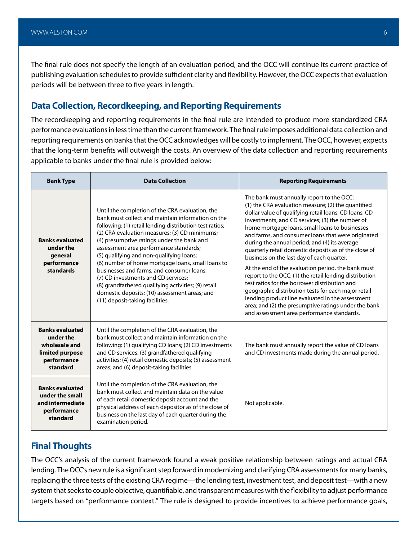The final rule does not specify the length of an evaluation period, and the OCC will continue its current practice of publishing evaluation schedules to provide sufficient clarity and flexibility. However, the OCC expects that evaluation periods will be between three to five years in length.

#### **Data Collection, Recordkeeping, and Reporting Requirements**

The recordkeeping and reporting requirements in the final rule are intended to produce more standardized CRA performance evaluations in less time than the current framework. The final rule imposes additional data collection and reporting requirements on banks that the OCC acknowledges will be costly to implement. The OCC, however, expects that the long-term benefits will outweigh the costs. An overview of the data collection and reporting requirements applicable to banks under the final rule is provided below:

| <b>Bank Type</b>                                                                                   | <b>Data Collection</b>                                                                                                                                                                                                                                                                                                                                                                                                                                                                                                                                                                                                                   | <b>Reporting Requirements</b>                                                                                                                                                                                                                                                                                                                                                                                                                                                                                                                                                                                                                                                                                                                                                                                                                                |
|----------------------------------------------------------------------------------------------------|------------------------------------------------------------------------------------------------------------------------------------------------------------------------------------------------------------------------------------------------------------------------------------------------------------------------------------------------------------------------------------------------------------------------------------------------------------------------------------------------------------------------------------------------------------------------------------------------------------------------------------------|--------------------------------------------------------------------------------------------------------------------------------------------------------------------------------------------------------------------------------------------------------------------------------------------------------------------------------------------------------------------------------------------------------------------------------------------------------------------------------------------------------------------------------------------------------------------------------------------------------------------------------------------------------------------------------------------------------------------------------------------------------------------------------------------------------------------------------------------------------------|
| <b>Banks evaluated</b><br>under the<br>general<br>performance<br>standards                         | Until the completion of the CRA evaluation, the<br>bank must collect and maintain information on the<br>following: (1) retail lending distribution test ratios;<br>(2) CRA evaluation measures; (3) CD minimums;<br>(4) presumptive ratings under the bank and<br>assessment area performance standards;<br>(5) qualifying and non-qualifying loans;<br>(6) number of home mortgage loans, small loans to<br>businesses and farms, and consumer loans;<br>(7) CD investments and CD services;<br>(8) grandfathered qualifying activities; (9) retail<br>domestic deposits; (10) assessment areas; and<br>(11) deposit-taking facilities. | The bank must annually report to the OCC:<br>(1) the CRA evaluation measure; (2) the quantified<br>dollar value of qualifying retail loans, CD loans, CD<br>investments, and CD services; (3) the number of<br>home mortgage loans, small loans to businesses<br>and farms, and consumer loans that were originated<br>during the annual period; and (4) its average<br>quarterly retail domestic deposits as of the close of<br>business on the last day of each quarter.<br>At the end of the evaluation period, the bank must<br>report to the OCC: (1) the retail lending distribution<br>test ratios for the borrower distribution and<br>geographic distribution tests for each major retail<br>lending product line evaluated in the assessment<br>area; and (2) the presumptive ratings under the bank<br>and assessment area performance standards. |
| <b>Banks evaluated</b><br>under the<br>wholesale and<br>limited purpose<br>performance<br>standard | Until the completion of the CRA evaluation, the<br>bank must collect and maintain information on the<br>following: (1) qualifying CD loans; (2) CD investments<br>and CD services; (3) grandfathered qualifying<br>activities; (4) retail domestic deposits; (5) assessment<br>areas; and (6) deposit-taking facilities.                                                                                                                                                                                                                                                                                                                 | The bank must annually report the value of CD loans<br>and CD investments made during the annual period.                                                                                                                                                                                                                                                                                                                                                                                                                                                                                                                                                                                                                                                                                                                                                     |
| <b>Banks evaluated</b><br>under the small<br>and intermediate<br>performance<br>standard           | Until the completion of the CRA evaluation, the<br>bank must collect and maintain data on the value<br>of each retail domestic deposit account and the<br>physical address of each depositor as of the close of<br>business on the last day of each quarter during the<br>examination period.                                                                                                                                                                                                                                                                                                                                            | Not applicable.                                                                                                                                                                                                                                                                                                                                                                                                                                                                                                                                                                                                                                                                                                                                                                                                                                              |

#### **Final Thoughts**

The OCC's analysis of the current framework found a weak positive relationship between ratings and actual CRA lending. The OCC's new rule is a significant step forward in modernizing and clarifying CRA assessments for many banks, replacing the three tests of the existing CRA regime—the lending test, investment test, and deposit test—with a new system that seeks to couple objective, quantifiable, and transparent measures with the flexibility to adjust performance targets based on "performance context." The rule is designed to provide incentives to achieve performance goals,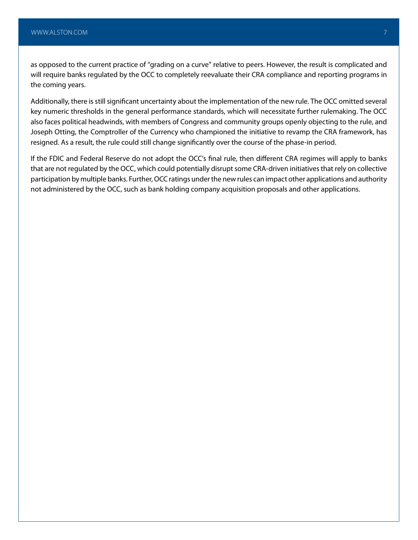as opposed to the current practice of "grading on a curve" relative to peers. However, the result is complicated and will require banks regulated by the OCC to completely reevaluate their CRA compliance and reporting programs in the coming years.

Additionally, there is still significant uncertainty about the implementation of the new rule. The OCC omitted several key numeric thresholds in the general performance standards, which will necessitate further rulemaking. The OCC also faces political headwinds, with members of Congress and community groups openly objecting to the rule, and Joseph Otting, the Comptroller of the Currency who championed the initiative to revamp the CRA framework, has resigned. As a result, the rule could still change significantly over the course of the phase-in period.

If the FDIC and Federal Reserve do not adopt the OCC's final rule, then different CRA regimes will apply to banks that are not regulated by the OCC, which could potentially disrupt some CRA-driven initiatives that rely on collective participation by multiple banks. Further, OCC ratings under the new rules can impact other applications and authority not administered by the OCC, such as bank holding company acquisition proposals and other applications.